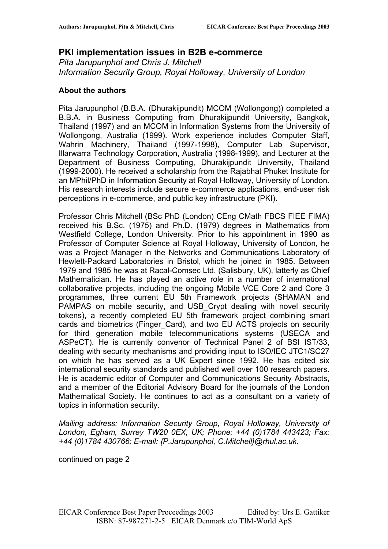# **PKI implementation issues in B2B e-commerce**

*Pita Jarupunphol and Chris J. Mitchell Information Security Group, Royal Holloway, University of London*

#### **About the authors**

Pita Jarupunphol (B.B.A. (Dhurakijpundit) MCOM (Wollongong)) completed a B.B.A. in Business Computing from Dhurakijpundit University, Bangkok, Thailand (1997) and an MCOM in Information Systems from the University of Wollongong, Australia (1999). Work experience includes Computer Staff, Wahrin Machinery, Thailand (1997-1998), Computer Lab Supervisor, Illarwarra Technology Corporation, Australia (1998-1999), and Lecturer at the Department of Business Computing, Dhurakijpundit University, Thailand (1999-2000). He received a scholarship from the Rajabhat Phuket Institute for an MPhil/PhD in Information Security at Royal Holloway, University of London. His research interests include secure e-commerce applications, end-user risk perceptions in e-commerce, and public key infrastructure (PKI).

Professor Chris Mitchell (BSc PhD (London) CEng CMath FBCS FIEE FIMA) received his B.Sc. (1975) and Ph.D. (1979) degrees in Mathematics from Westfield College, London University. Prior to his appointment in 1990 as Professor of Computer Science at Royal Holloway, University of London, he was a Project Manager in the Networks and Communications Laboratory of Hewlett-Packard Laboratories in Bristol, which he joined in 1985. Between 1979 and 1985 he was at Racal-Comsec Ltd. (Salisbury, UK), latterly as Chief Mathematician. He has played an active role in a number of international collaborative projects, including the ongoing Mobile VCE Core 2 and Core 3 programmes, three current EU 5th Framework projects (SHAMAN and PAMPAS on mobile security, and USB Crypt dealing with novel security tokens), a recently completed EU 5th framework project combining smart cards and biometrics (Finger\_Card), and two EU ACTS projects on security for third generation mobile telecommunications systems (USECA and ASPeCT). He is currently convenor of Technical Panel 2 of BSI IST/33, dealing with security mechanisms and providing input to ISO/IEC JTC1/SC27 on which he has served as a UK Expert since 1992. He has edited six international security standards and published well over 100 research papers. He is academic editor of Computer and Communications Security Abstracts, and a member of the Editorial Advisory Board for the journals of the London Mathematical Society. He continues to act as a consultant on a variety of topics in information security.

*Mailing address: Information Security Group, Royal Holloway, University of London, Egham, Surrey TW20 0EX, UK; Phone: +44 (0)1784 443423; Fax: +44 (0)1784 430766; E-mail: {P.Jarupunphol, C.Mitchell}@rhul.ac.uk.* 

continued on page 2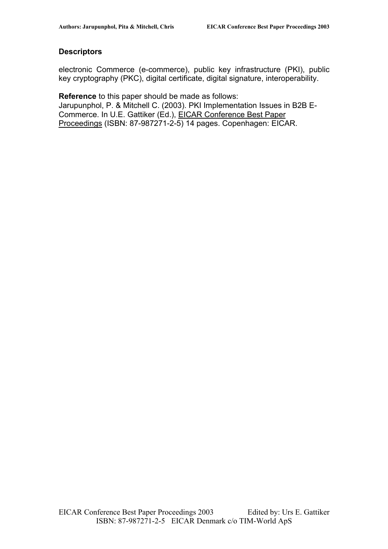#### **Descriptors**

electronic Commerce (e-commerce), public key infrastructure (PKI), public key cryptography (PKC), digital certificate, digital signature, interoperability.

**Reference** to this paper should be made as follows: Jarupunphol, P. & Mitchell C. (2003). PKI Implementation Issues in B2B E-Commerce. In U.E. Gattiker (Ed.), EICAR Conference Best Paper Proceedings (ISBN: 87-987271-2-5) 14 pages. Copenhagen: EICAR.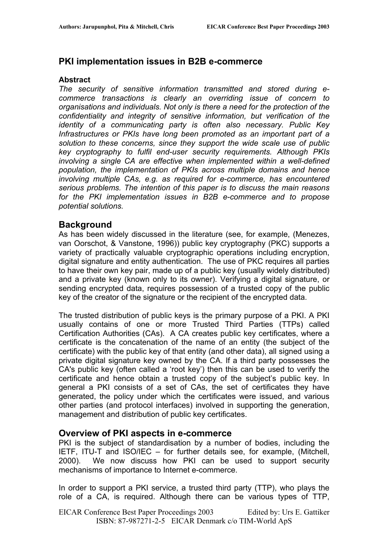### **PKI implementation issues in B2B e-commerce**

#### **Abstract**

*The security of sensitive information transmitted and stored during ecommerce transactions is clearly an overriding issue of concern to organisations and individuals. Not only is there a need for the protection of the confidentiality and integrity of sensitive information, but verification of the identity of a communicating party is often also necessary. Public Key Infrastructures or PKIs have long been promoted as an important part of a solution to these concerns, since they support the wide scale use of public key cryptography to fulfil end-user security requirements. Although PKIs involving a single CA are effective when implemented within a well-defined population, the implementation of PKIs across multiple domains and hence involving multiple CAs, e.g. as required for e-commerce, has encountered serious problems. The intention of this paper is to discuss the main reasons for the PKI implementation issues in B2B e-commerce and to propose potential solutions.* 

### **Background**

As has been widely discussed in the literature (see, for example, (Menezes, van Oorschot, & Vanstone, 1996)) public key cryptography (PKC) supports a variety of practically valuable cryptographic operations including encryption, digital signature and entity authentication. The use of PKC requires all parties to have their own key pair, made up of a public key (usually widely distributed) and a private key (known only to its owner). Verifying a digital signature, or sending encrypted data, requires possession of a trusted copy of the public key of the creator of the signature or the recipient of the encrypted data.

The trusted distribution of public keys is the primary purpose of a PKI. A PKI usually contains of one or more Trusted Third Parties (TTPs) called Certification Authorities (CAs). A CA creates public key certificates, where a certificate is the concatenation of the name of an entity (the subject of the certificate) with the public key of that entity (and other data), all signed using a private digital signature key owned by the CA. If a third party possesses the CA's public key (often called a 'root key') then this can be used to verify the certificate and hence obtain a trusted copy of the subject's public key. In general a PKI consists of a set of CAs, the set of certificates they have generated, the policy under which the certificates were issued, and various other parties (and protocol interfaces) involved in supporting the generation, management and distribution of public key certificates.

#### **Overview of PKI aspects in e-commerce**

PKI is the subject of standardisation by a number of bodies, including the IETF, ITU-T and ISO/IEC – for further details see, for example, (Mitchell, 2000). We now discuss how PKI can be used to support security mechanisms of importance to Internet e-commerce.

In order to support a PKI service, a trusted third party (TTP), who plays the role of a CA, is required. Although there can be various types of TTP,

EICAR Conference Best Paper Proceedings 2003 Edited by: Urs E. Gattiker ISBN: 87-987271-2-5 EICAR Denmark c/o TIM-World ApS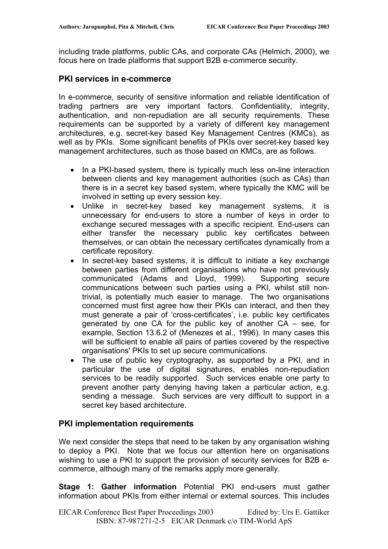including trade platforms, public CAs, and corporate CAs (Helmich, 2000), we focus here on trade platforms that support B2B e-commerce security.

#### **PKI services in e-commerce**

In e-commerce, security of sensitive information and reliable identification of trading partners are very important factors. Confidentiality, integrity, authentication, and non-repudiation are all security requirements. These requirements can be supported by a variety of different key management architectures, e.g. secret-key based Key Management Centres (KMCs), as well as by PKIs. Some significant benefits of PKIs over secret-key based key management architectures, such as those based on KMCs, are as follows.

- In a PKI-based system, there is typically much less on-line interaction between clients and key management authorities (such as CAs) than there is in a secret key based system, where typically the KMC will be involved in setting up every session key.
- Unlike in secret-key based key management systems, it is unnecessary for end-users to store a number of keys in order to exchange secured messages with a specific recipient. End-users can either transfer the necessary public key certificates between themselves, or can obtain the necessary certificates dynamically from a certificate repository.
- In secret-key based systems, it is difficult to initiate a key exchange between parties from different organisations who have not previously communicated (Adams and Lloyd, 1999). Supporting secure communications between such parties using a PKI, whilst still nontrivial, is potentially much easier to manage. The two organisations concerned must first agree how their PKIs can interact, and then they must generate a pair of 'cross-certificates', i.e. public key certificates generated by one CA for the public key of another CA – see, for example, Section 13.6.2 of (Menezes et al., 1996). In many cases this will be sufficient to enable all pairs of parties covered by the respective organisations' PKIs to set up secure communications.
- The use of public key cryptography, as supported by a PKI, and in particular the use of digital signatures, enables non-repudiation services to be readily supported. Such services enable one party to prevent another party denying having taken a particular action, e.g. sending a message. Such services are very difficult to support in a secret key based architecture.

#### **PKI implementation requirements**

We next consider the steps that need to be taken by any organisation wishing to deploy a PKI. Note that we focus our attention here on organisations wishing to use a PKI to support the provision of security services for B2B ecommerce, although many of the remarks apply more generally.

**Stage 1: Gather information** Potential PKI end-users must gather information about PKIs from either internal or external sources. This includes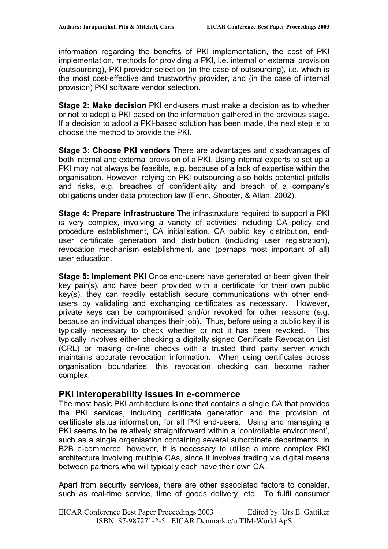information regarding the benefits of PKI implementation, the cost of PKI implementation, methods for providing a PKI, i.e. internal or external provision (outsourcing), PKI provider selection (in the case of outsourcing), i.e. which is the most cost-effective and trustworthy provider, and (in the case of internal provision) PKI software vendor selection.

**Stage 2: Make decision** PKI end-users must make a decision as to whether or not to adopt a PKI based on the information gathered in the previous stage. If a decision to adopt a PKI-based solution has been made, the next step is to choose the method to provide the PKI.

**Stage 3: Choose PKI vendors** There are advantages and disadvantages of both internal and external provision of a PKI. Using internal experts to set up a PKI may not always be feasible, e.g. because of a lack of expertise within the organisation. However, relying on PKI outsourcing also holds potential pitfalls and risks, e.g. breaches of confidentiality and breach of a company's obligations under data protection law (Fenn, Shooter, & Allan, 2002).

**Stage 4: Prepare infrastructure** The infrastructure required to support a PKI is very complex, involving a variety of activities including CA policy and procedure establishment, CA initialisation, CA public key distribution, enduser certificate generation and distribution (including user registration), revocation mechanism establishment, and (perhaps most important of all) user education.

**Stage 5: Implement PKI** Once end-users have generated or been given their key pair(s), and have been provided with a certificate for their own public key(s), they can readily establish secure communications with other endusers by validating and exchanging certificates as necessary. However, private keys can be compromised and/or revoked for other reasons (e.g. because an individual changes their job). Thus, before using a public key it is typically necessary to check whether or not it has been revoked. This typically involves either checking a digitally signed Certificate Revocation List (CRL) or making on-line checks with a trusted third party server which maintains accurate revocation information. When using certificates across organisation boundaries, this revocation checking can become rather complex.

### **PKI interoperability issues in e-commerce**

The most basic PKI architecture is one that contains a single CA that provides the PKI services, including certificate generation and the provision of certificate status information, for all PKI end-users. Using and managing a PKI seems to be relatively straightforward within a 'controllable environment', such as a single organisation containing several subordinate departments. In B2B e-commerce, however, it is necessary to utilise a more complex PKI architecture involving multiple CAs, since it involves trading via digital means between partners who will typically each have their own CA.

Apart from security services, there are other associated factors to consider, such as real-time service, time of goods delivery, etc. To fulfil consumer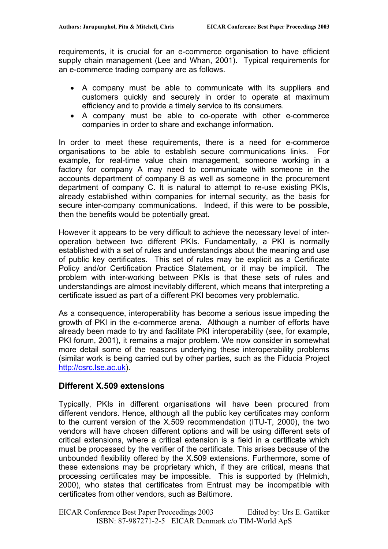requirements, it is crucial for an e-commerce organisation to have efficient supply chain management (Lee and Whan, 2001). Typical requirements for an e-commerce trading company are as follows.

- A company must be able to communicate with its suppliers and customers quickly and securely in order to operate at maximum efficiency and to provide a timely service to its consumers.
- A company must be able to co-operate with other e-commerce companies in order to share and exchange information.

In order to meet these requirements, there is a need for e-commerce organisations to be able to establish secure communications links. For example, for real-time value chain management, someone working in a factory for company A may need to communicate with someone in the accounts department of company B as well as someone in the procurement department of company C. It is natural to attempt to re-use existing PKIs, already established within companies for internal security, as the basis for secure inter-company communications. Indeed, if this were to be possible, then the benefits would be potentially great.

However it appears to be very difficult to achieve the necessary level of interoperation between two different PKIs. Fundamentally, a PKI is normally established with a set of rules and understandings about the meaning and use of public key certificates. This set of rules may be explicit as a Certificate Policy and/or Certification Practice Statement, or it may be implicit. The problem with inter-working between PKIs is that these sets of rules and understandings are almost inevitably different, which means that interpreting a certificate issued as part of a different PKI becomes very problematic.

As a consequence, interoperability has become a serious issue impeding the growth of PKI in the e-commerce arena. Although a number of efforts have already been made to try and facilitate PKI interoperability (see, for example, PKI forum, 2001), it remains a major problem. We now consider in somewhat more detail some of the reasons underlying these interoperability problems (similar work is being carried out by other parties, such as the Fiducia Project [http://csrc.lse.ac.uk\)](http://csrc.lse.ac.uk/).

#### **Different X.509 extensions**

Typically, PKIs in different organisations will have been procured from different vendors. Hence, although all the public key certificates may conform to the current version of the X.509 recommendation (ITU-T, 2000), the two vendors will have chosen different options and will be using different sets of critical extensions, where a critical extension is a field in a certificate which must be processed by the verifier of the certificate. This arises because of the unbounded flexibility offered by the X.509 extensions. Furthermore, some of these extensions may be proprietary which, if they are critical, means that processing certificates may be impossible. This is supported by (Helmich, 2000), who states that certificates from Entrust may be incompatible with certificates from other vendors, such as Baltimore.

EICAR Conference Best Paper Proceedings 2003 Edited by: Urs E. Gattiker ISBN: 87-987271-2-5 EICAR Denmark c/o TIM-World ApS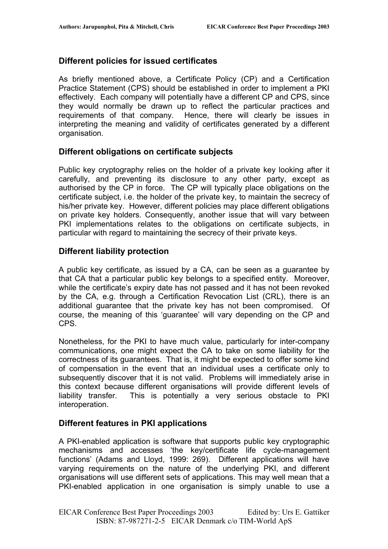# **Different policies for issued certificates**

As briefly mentioned above, a Certificate Policy (CP) and a Certification Practice Statement (CPS) should be established in order to implement a PKI effectively. Each company will potentially have a different CP and CPS, since they would normally be drawn up to reflect the particular practices and requirements of that company. Hence, there will clearly be issues in interpreting the meaning and validity of certificates generated by a different organisation.

### **Different obligations on certificate subjects**

Public key cryptography relies on the holder of a private key looking after it carefully, and preventing its disclosure to any other party, except as authorised by the CP in force. The CP will typically place obligations on the certificate subject, i.e. the holder of the private key, to maintain the secrecy of his/her private key. However, different policies may place different obligations on private key holders. Consequently, another issue that will vary between PKI implementations relates to the obligations on certificate subjects, in particular with regard to maintaining the secrecy of their private keys.

### **Different liability protection**

A public key certificate, as issued by a CA, can be seen as a guarantee by that CA that a particular public key belongs to a specified entity. Moreover, while the certificate's expiry date has not passed and it has not been revoked by the CA, e.g. through a Certification Revocation List (CRL), there is an additional guarantee that the private key has not been compromised. Of course, the meaning of this 'guarantee' will vary depending on the CP and CPS.

Nonetheless, for the PKI to have much value, particularly for inter-company communications, one might expect the CA to take on some liability for the correctness of its guarantees. That is, it might be expected to offer some kind of compensation in the event that an individual uses a certificate only to subsequently discover that it is not valid. Problems will immediately arise in this context because different organisations will provide different levels of liability transfer. This is potentially a very serious obstacle to PKI interoperation.

### **Different features in PKI applications**

A PKI-enabled application is software that supports public key cryptographic mechanisms and accesses 'the key/certificate life cycle-management functions' (Adams and Lloyd, 1999: 269). Different applications will have varying requirements on the nature of the underlying PKI, and different organisations will use different sets of applications. This may well mean that a PKI-enabled application in one organisation is simply unable to use a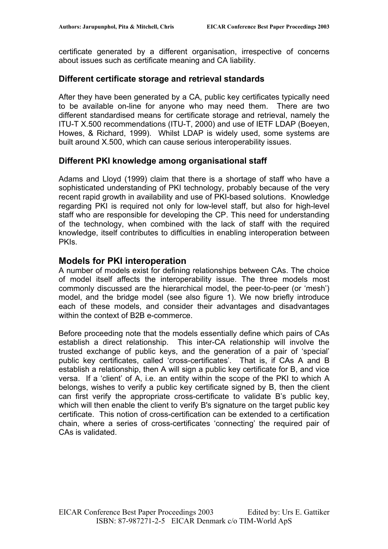certificate generated by a different organisation, irrespective of concerns about issues such as certificate meaning and CA liability.

#### **Different certificate storage and retrieval standards**

After they have been generated by a CA, public key certificates typically need to be available on-line for anyone who may need them. There are two different standardised means for certificate storage and retrieval, namely the ITU-T X.500 recommendations (ITU-T, 2000) and use of IETF LDAP (Boeyen, Howes, & Richard, 1999). Whilst LDAP is widely used, some systems are built around X.500, which can cause serious interoperability issues.

#### **Different PKI knowledge among organisational staff**

Adams and Lloyd (1999) claim that there is a shortage of staff who have a sophisticated understanding of PKI technology, probably because of the very recent rapid growth in availability and use of PKI-based solutions. Knowledge regarding PKI is required not only for low-level staff, but also for high-level staff who are responsible for developing the CP. This need for understanding of the technology, when combined with the lack of staff with the required knowledge, itself contributes to difficulties in enabling interoperation between **PKIs.** 

### **Models for PKI interoperation**

A number of models exist for defining relationships between CAs. The choice of model itself affects the interoperability issue. The three models most commonly discussed are the hierarchical model, the peer-to-peer (or 'mesh') model, and the bridge model (see also figure 1). We now briefly introduce each of these models, and consider their advantages and disadvantages within the context of B2B e-commerce.

Before proceeding note that the models essentially define which pairs of CAs establish a direct relationship. This inter-CA relationship will involve the trusted exchange of public keys, and the generation of a pair of 'special' public key certificates, called 'cross-certificates'. That is, if CAs A and B establish a relationship, then A will sign a public key certificate for B, and vice versa. If a 'client' of A, i.e. an entity within the scope of the PKI to which A belongs, wishes to verify a public key certificate signed by B, then the client can first verify the appropriate cross-certificate to validate B's public key, which will then enable the client to verify B's signature on the target public key certificate. This notion of cross-certification can be extended to a certification chain, where a series of cross-certificates 'connecting' the required pair of CAs is validated.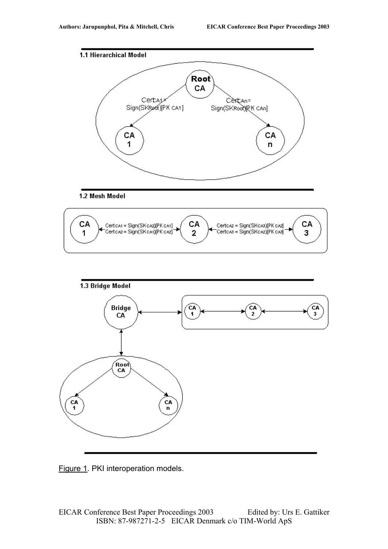







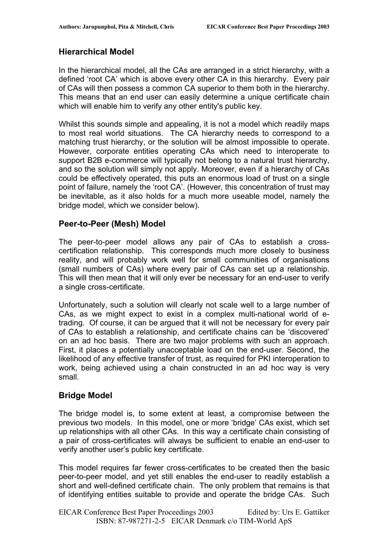## **Hierarchical Model**

In the hierarchical model, all the CAs are arranged in a strict hierarchy, with a defined 'root CA' which is above every other CA in this hierarchy. Every pair of CAs will then possess a common CA superior to them both in the hierarchy. This means that an end user can easily determine a unique certificate chain which will enable him to verify any other entity's public key.

Whilst this sounds simple and appealing, it is not a model which readily maps to most real world situations. The CA hierarchy needs to correspond to a matching trust hierarchy, or the solution will be almost impossible to operate. However, corporate entities operating CAs which need to interoperate to support B2B e-commerce will typically not belong to a natural trust hierarchy, and so the solution will simply not apply. Moreover, even if a hierarchy of CAs could be effectively operated, this puts an enormous load of trust on a single point of failure, namely the 'root CA'. (However, this concentration of trust may be inevitable, as it also holds for a much more useable model, namely the bridge model, which we consider below).

### **Peer-to-Peer (Mesh) Model**

The peer-to-peer model allows any pair of CAs to establish a crosscertification relationship. This corresponds much more closely to business reality, and will probably work well for small communities of organisations (small numbers of CAs) where every pair of CAs can set up a relationship. This will then mean that it will only ever be necessary for an end-user to verify a single cross-certificate.

Unfortunately, such a solution will clearly not scale well to a large number of CAs, as we might expect to exist in a complex multi-national world of etrading. Of course, it can be argued that it will not be necessary for every pair of CAs to establish a relationship, and certificate chains can be 'discovered' on an ad hoc basis. There are two major problems with such an approach. First, it places a potentially unacceptable load on the end-user. Second, the likelihood of any effective transfer of trust, as required for PKI interoperation to work, being achieved using a chain constructed in an ad hoc way is very small.

### **Bridge Model**

The bridge model is, to some extent at least, a compromise between the previous two models. In this model, one or more 'bridge' CAs exist, which set up relationships with all other CAs. In this way a certificate chain consisting of a pair of cross-certificates will always be sufficient to enable an end-user to verify another user's public key certificate.

This model requires far fewer cross-certificates to be created then the basic peer-to-peer model, and yet still enables the end-user to readily establish a short and well-defined certificate chain. The only problem that remains is that of identifying entities suitable to provide and operate the bridge CAs. Such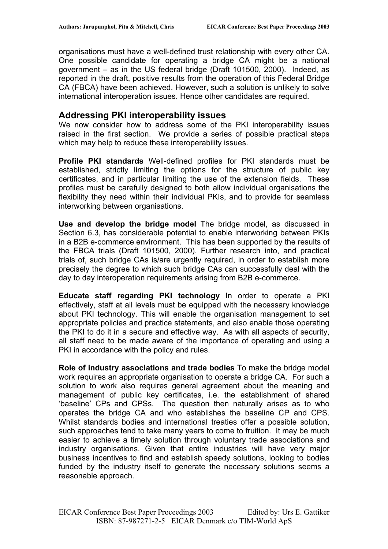organisations must have a well-defined trust relationship with every other CA. One possible candidate for operating a bridge CA might be a national government – as in the US federal bridge (Draft 101500, 2000). Indeed, as reported in the draft, positive results from the operation of this Federal Bridge CA (FBCA) have been achieved. However, such a solution is unlikely to solve international interoperation issues. Hence other candidates are required.

### **Addressing PKI interoperability issues**

We now consider how to address some of the PKI interoperability issues raised in the first section. We provide a series of possible practical steps which may help to reduce these interoperability issues.

**Profile PKI standards** Well-defined profiles for PKI standards must be established, strictly limiting the options for the structure of public key certificates, and in particular limiting the use of the extension fields. These profiles must be carefully designed to both allow individual organisations the flexibility they need within their individual PKIs, and to provide for seamless interworking between organisations.

**Use and develop the bridge model** The bridge model, as discussed in Section 6.3, has considerable potential to enable interworking between PKIs in a B2B e-commerce environment. This has been supported by the results of the FBCA trials (Draft 101500, 2000). Further research into, and practical trials of, such bridge CAs is/are urgently required, in order to establish more precisely the degree to which such bridge CAs can successfully deal with the day to day interoperation requirements arising from B2B e-commerce.

**Educate staff regarding PKI technology** In order to operate a PKI effectively, staff at all levels must be equipped with the necessary knowledge about PKI technology. This will enable the organisation management to set appropriate policies and practice statements, and also enable those operating the PKI to do it in a secure and effective way. As with all aspects of security, all staff need to be made aware of the importance of operating and using a PKI in accordance with the policy and rules.

**Role of industry associations and trade bodies** To make the bridge model work requires an appropriate organisation to operate a bridge CA. For such a solution to work also requires general agreement about the meaning and management of public key certificates, i.e. the establishment of shared 'baseline' CPs and CPSs. The question then naturally arises as to who operates the bridge CA and who establishes the baseline CP and CPS. Whilst standards bodies and international treaties offer a possible solution, such approaches tend to take many years to come to fruition. It may be much easier to achieve a timely solution through voluntary trade associations and industry organisations. Given that entire industries will have very major business incentives to find and establish speedy solutions, looking to bodies funded by the industry itself to generate the necessary solutions seems a reasonable approach.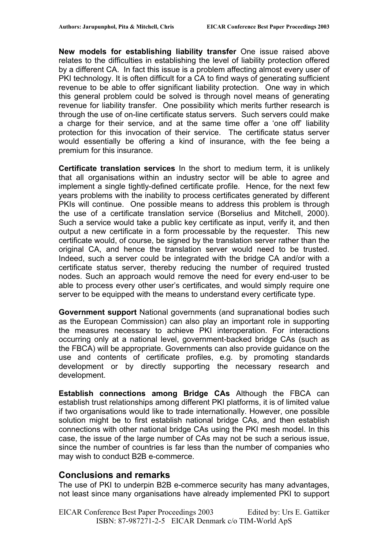**New models for establishing liability transfer** One issue raised above relates to the difficulties in establishing the level of liability protection offered by a different CA. In fact this issue is a problem affecting almost every user of PKI technology. It is often difficult for a CA to find ways of generating sufficient revenue to be able to offer significant liability protection. One way in which this general problem could be solved is through novel means of generating revenue for liability transfer. One possibility which merits further research is through the use of on-line certificate status servers. Such servers could make a charge for their service, and at the same time offer a 'one off' liability protection for this invocation of their service. The certificate status server would essentially be offering a kind of insurance, with the fee being a premium for this insurance.

**Certificate translation services** In the short to medium term, it is unlikely that all organisations within an industry sector will be able to agree and implement a single tightly-defined certificate profile. Hence, for the next few years problems with the inability to process certificates generated by different PKIs will continue. One possible means to address this problem is through the use of a certificate translation service (Borselius and Mitchell, 2000). Such a service would take a public key certificate as input, verify it, and then output a new certificate in a form processable by the requester. This new certificate would, of course, be signed by the translation server rather than the original CA, and hence the translation server would need to be trusted. Indeed, such a server could be integrated with the bridge CA and/or with a certificate status server, thereby reducing the number of required trusted nodes. Such an approach would remove the need for every end-user to be able to process every other user's certificates, and would simply require one server to be equipped with the means to understand every certificate type.

**Government support** National governments (and supranational bodies such as the European Commission) can also play an important role in supporting the measures necessary to achieve PKI interoperation. For interactions occurring only at a national level, government-backed bridge CAs (such as the FBCA) will be appropriate. Governments can also provide guidance on the use and contents of certificate profiles, e.g. by promoting standards development or by directly supporting the necessary research and development.

**Establish connections among Bridge CAs** Although the FBCA can establish trust relationships among different PKI platforms, it is of limited value if two organisations would like to trade internationally. However, one possible solution might be to first establish national bridge CAs, and then establish connections with other national bridge CAs using the PKI mesh model. In this case, the issue of the large number of CAs may not be such a serious issue, since the number of countries is far less than the number of companies who may wish to conduct B2B e-commerce.

#### **Conclusions and remarks**

The use of PKI to underpin B2B e-commerce security has many advantages, not least since many organisations have already implemented PKI to support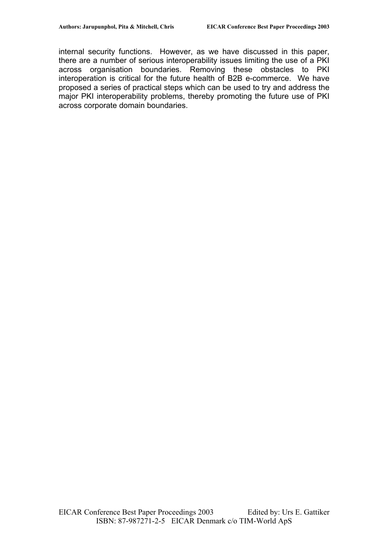internal security functions. However, as we have discussed in this paper, there are a number of serious interoperability issues limiting the use of a PKI across organisation boundaries. Removing these obstacles to PKI interoperation is critical for the future health of B2B e-commerce. We have proposed a series of practical steps which can be used to try and address the major PKI interoperability problems, thereby promoting the future use of PKI across corporate domain boundaries.